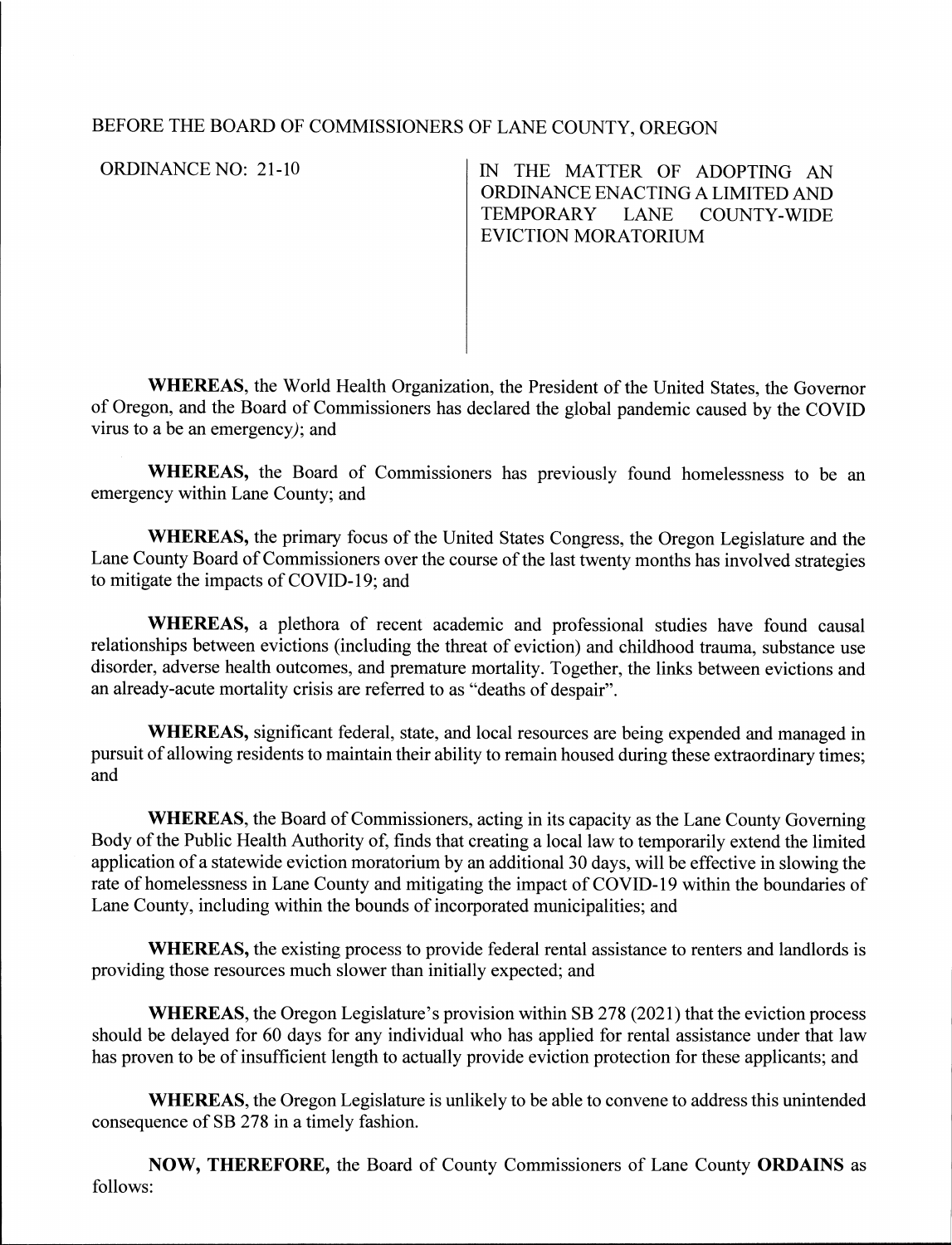## BEFORE THE BOARD OF COMMISSIONERS OF LANE COUNTY, OREGON

**ORDINANCE NO: 21-10** 

IN THE MATTER OF ADOPTING AN ORDINANCE ENACTING A LIMITED AND TEMPORARY LANE COUNTY-WIDE EVICTION MORATORIUM

**WHEREAS,** the World Health Organization, the President of the United States, the Governor of Oregon, and the Board of Commissioners has declared the global pandemic caused by the COVID virus to a be an emergency); and

**WHEREAS,** the Board of Commissioners has previously found homelessness to be an emergency within Lane County; and

**WHEREAS,** the primary focus of the United States Congress, the Oregon Legislature and the Lane County Board of Commissioners over the course of the last twenty months has involved strategies to mitigate the impacts of COVID-19; and

**WHEREAS,** a plethora of recent academic and professional studies have found causal relationships between evictions (including the threat of eviction) and childhood trauma, substance use disorder, adverse health outcomes, and premature mortality. Together, the links between evictions and an already-acute mortality crisis are referred to as "deaths of despair".

**WHEREAS,** significant federal, state, and local resources are being expended and managed in pursuit of allowing residents to maintain their ability to remain housed during these extraordinary times; and

**WHEREAS,** the Board of Commissioners, acting in its capacity as the Lane County Governing Body of the Public Health Authority of, finds that creating a local law to temporarily extend the limited application of a statewide eviction moratorium by an additional 30 days, will be effective in slowing the rate of homelessness in Lane County and mitigating the impact of COVID-19 within the boundaries of Lane County, including within the bounds of incorporated municipalities; and

**WHEREAS,** the existing process to provide federal rental assistance to renters and landlords is providing those resources much slower than initially expected; and

**WHEREAS,** the Oregon Legislature's provision within SB 278 (2021) that the eviction process should be delayed for 60 days for any individual who has applied for rental assistance under that law has proven to be of insufficient length to actually provide eviction protection for these applicants; and

**WHEREAS,** the Oregon Legislature is unlikely to be able to convene to address this unintended consequence of SB 278 in a timely fashion.

**NOW, THEREFORE,** the Board of County Commissioners of Lane County **ORDAINS** as follows: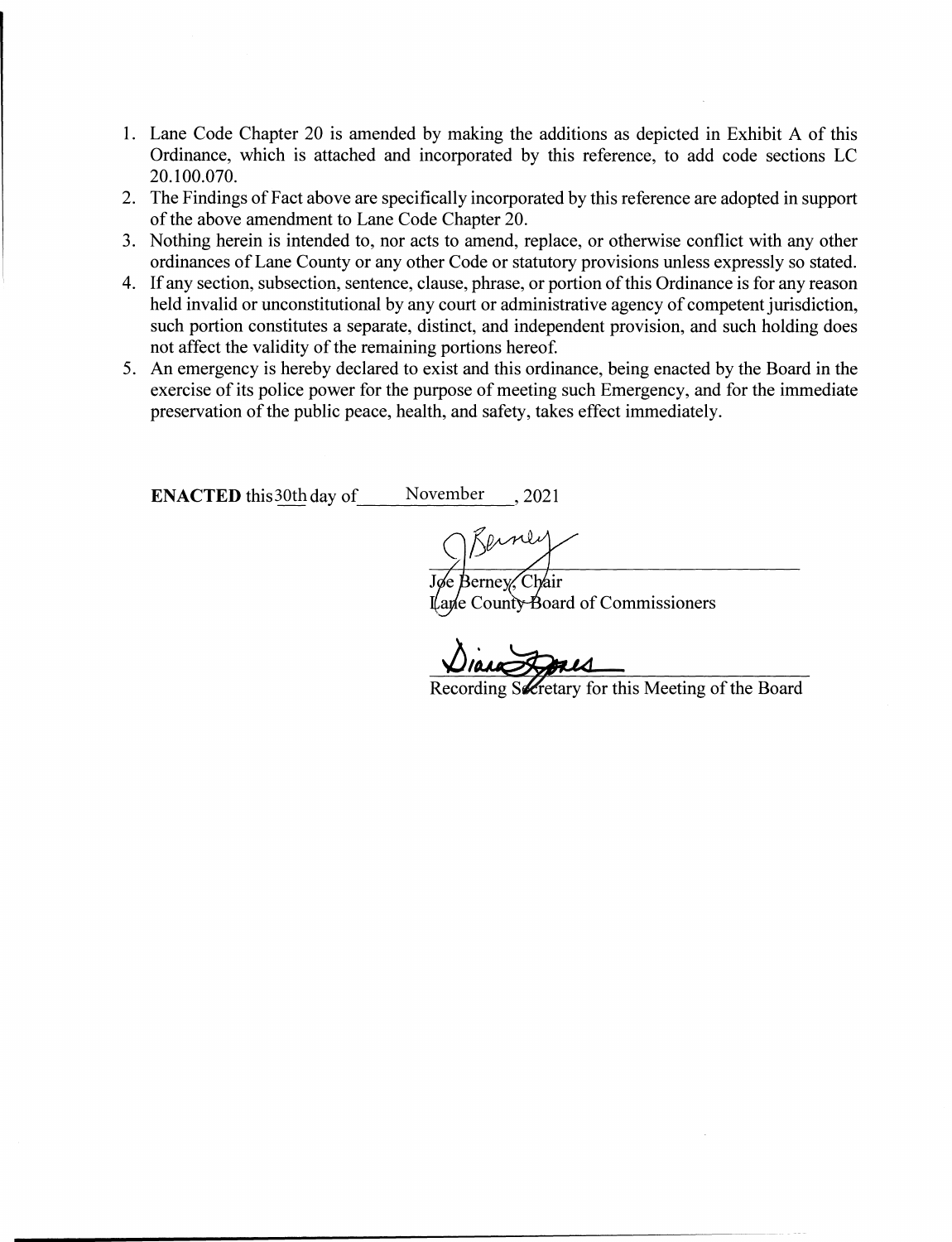- 1. Lane Code Chapter 20 is amended by making the additions as depicted in Exhibit A of this Ordinance, which is attached and incorporated by this reference, to add code sections LC 20.100.070.
- 2. The Findings of Fact above are specifically incorporated by this reference are adopted in support of the above amendment to Lane Code Chapter 20.
- 3. Nothing herein is intended to, nor acts to amend, replace, or otherwise conflict with any other ordinances of Lane County or any other Code or statutory provisions unless expressly so stated.
- 4. If any section, subsection, sentence, clause, phrase, or portion of this Ordinance is for any reason held invalid or unconstitutional by any court or administrative agency of competent jurisdiction, such portion constitutes a separate, distinct, and independent provision, and such holding does not affect the validity of the remaining portions hereof.
- 5. An emergency is hereby declared to exist and this ordinance, being enacted by the Board in the exercise of its police power for the purpose of meeting such Emergency, and for the immediate preservation of the public peace, health, and safety, takes effect immediately.

**ENACTED** this  $\frac{30 \text{th}}{4}$  day of \_\_\_\_\_\_ November \_\_\_\_, 2021

Jøe Berney, Chair Lane County Board of Commissioners

**DIANCE Recording Secretary for this Meeting of the Board**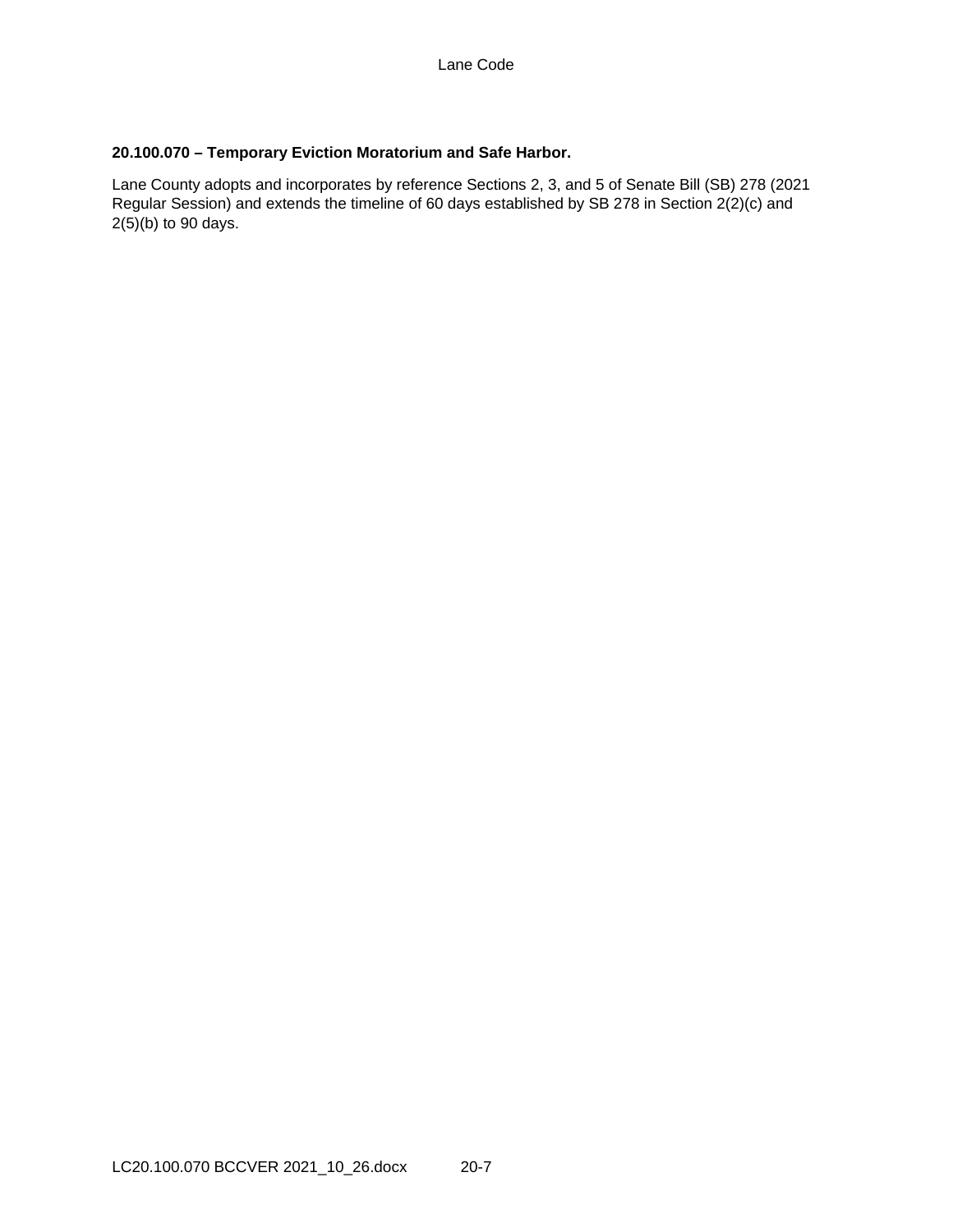## **20.100.070 – Temporary Eviction Moratorium and Safe Harbor.**

Lane County adopts and incorporates by reference Sections 2, 3, and 5 of Senate Bill (SB) 278 (2021 Regular Session) and extends the timeline of 60 days established by SB 278 in Section 2(2)(c) and  $2(5)(b)$  to 90 days.